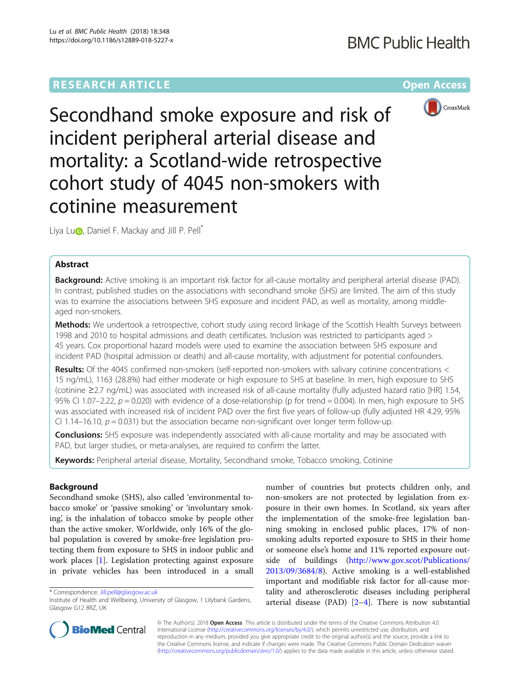# **RESEARCH ARTICLE Example 2014 12:30 The Contract of Contract ACCESS**



Secondhand smoke exposure and risk of incident peripheral arterial disease and mortality: a Scotland-wide retrospective cohort study of 4045 non-smokers with cotinine measurement

Liya Lu**D**[,](http://orcid.org/0000-0001-8728-0276) Daniel F. Mackay and Jill P. Pell<sup>\*</sup>

# Abstract

Background: Active smoking is an important risk factor for all-cause mortality and peripheral arterial disease (PAD). In contrast, published studies on the associations with secondhand smoke (SHS) are limited. The aim of this study was to examine the associations between SHS exposure and incident PAD, as well as mortality, among middleaged non-smokers.

Methods: We undertook a retrospective, cohort study using record linkage of the Scottish Health Surveys between 1998 and 2010 to hospital admissions and death certificates. Inclusion was restricted to participants aged > 45 years. Cox proportional hazard models were used to examine the association between SHS exposure and incident PAD (hospital admission or death) and all-cause mortality, with adjustment for potential confounders.

Results: Of the 4045 confirmed non-smokers (self-reported non-smokers with salivary cotinine concentrations < 15 ng/mL), 1163 (28.8%) had either moderate or high exposure to SHS at baseline. In men, high exposure to SHS (cotinine ≥2.7 ng/mL) was associated with increased risk of all-cause mortality (fully adjusted hazard ratio [HR] 1.54, 95% CI 1.07–2.22,  $p = 0.020$ ) with evidence of a dose-relationship (p for trend = 0.004). In men, high exposure to SHS was associated with increased risk of incident PAD over the first five years of follow-up (fully adjusted HR 4.29, 95% CI 1.14–16.10,  $p = 0.031$ ) but the association became non-significant over longer term follow-up.

**Conclusions:** SHS exposure was independently associated with all-cause mortality and may be associated with PAD, but larger studies, or meta-analyses, are required to confirm the latter.

Keywords: Peripheral arterial disease, Mortality, Secondhand smoke, Tobacco smoking, Cotinine

# Background

Secondhand smoke (SHS), also called 'environmental tobacco smoke' or 'passive smoking' or 'involuntary smoking', is the inhalation of tobacco smoke by people other than the active smoker. Worldwide, only 16% of the global population is covered by smoke-free legislation protecting them from exposure to SHS in indoor public and work places [\[1](#page-7-0)]. Legislation protecting against exposure in private vehicles has been introduced in a small

\* Correspondence: [Jill.pell@glasgow.ac.uk](mailto:Jill.pell@glasgow.ac.uk)

number of countries but protects children only, and non-smokers are not protected by legislation from exposure in their own homes. In Scotland, six years after the implementation of the smoke-free legislation banning smoking in enclosed public places, 17% of nonsmoking adults reported exposure to SHS in their home or someone else's home and 11% reported exposure outside of buildings ([http://www.gov.scot/Publications/](http://www.gov.scot/Publications/2013/09/3684/8) [2013/09/3684/8](http://www.gov.scot/Publications/2013/09/3684/8)). Active smoking is a well-established important and modifiable risk factor for all-cause mortality and atherosclerotic diseases including peripheral arterial disease (PAD)  $[2-4]$  $[2-4]$  $[2-4]$  $[2-4]$ . There is now substantial



© The Author(s). 2018 Open Access This article is distributed under the terms of the Creative Commons Attribution 4.0 International License [\(http://creativecommons.org/licenses/by/4.0/](http://creativecommons.org/licenses/by/4.0/)), which permits unrestricted use, distribution, and reproduction in any medium, provided you give appropriate credit to the original author(s) and the source, provide a link to the Creative Commons license, and indicate if changes were made. The Creative Commons Public Domain Dedication waiver [\(http://creativecommons.org/publicdomain/zero/1.0/](http://creativecommons.org/publicdomain/zero/1.0/)) applies to the data made available in this article, unless otherwise stated.

Institute of Health and Wellbeing, University of Glasgow, 1 Lilybank Gardens, Glasgow G12 8RZ, UK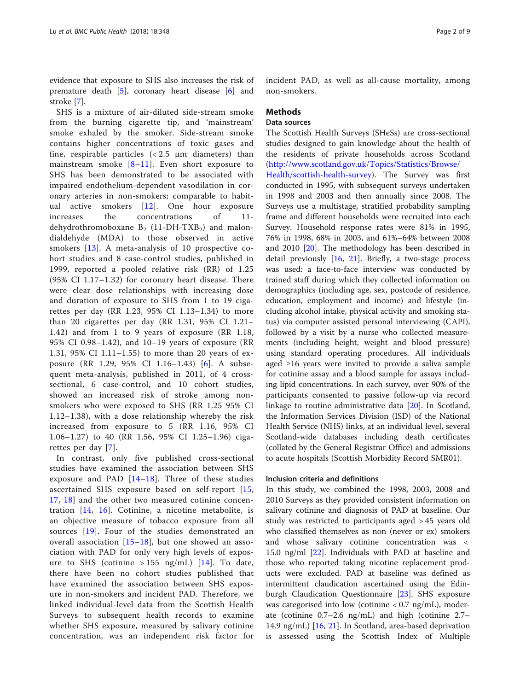evidence that exposure to SHS also increases the risk of premature death [\[5](#page-8-0)], coronary heart disease [\[6](#page-8-0)] and stroke [[7\]](#page-8-0).

SHS is a mixture of air-diluted side-stream smoke from the burning cigarette tip, and 'mainstream' smoke exhaled by the smoker. Side-stream smoke contains higher concentrations of toxic gases and fine, respirable particles  $( $2.5 \mu m$  diameters) than$ mainstream smoke [[8](#page-8-0)–[11](#page-8-0)]. Even short exposure to SHS has been demonstrated to be associated with impaired endothelium-dependent vasodilation in coronary arteries in non-smokers; comparable to habitual active smokers [\[12\]](#page-8-0). One hour exposure increases the concentrations of 11 dehydrothromoboxane  $B_2$  (11-DH-TXB<sub>2</sub>) and malondialdehyde (MDA) to those observed in active smokers [[13](#page-8-0)]. A meta-analysis of 10 prospective cohort studies and 8 case-control studies, published in 1999, reported a pooled relative risk (RR) of 1.25 (95% CI 1.17–1.32) for coronary heart disease. There were clear dose relationships with increasing dose and duration of exposure to SHS from 1 to 19 cigarettes per day (RR 1.23, 95% CI 1.13–1.34) to more than 20 cigarettes per day (RR 1.31, 95% CI 1.21– 1.42) and from 1 to 9 years of exposure (RR 1.18, 95% CI 0.98–1.42), and 10–19 years of exposure (RR 1.31, 95% CI 1.11–1.55) to more than 20 years of exposure (RR 1.29, 95% CI 1.16–1.43) [\[6](#page-8-0)]. A subsequent meta-analysis, published in 2011, of 4 crosssectional, 6 case-control, and 10 cohort studies, showed an increased risk of stroke among nonsmokers who were exposed to SHS (RR 1.25 95% CI 1.12–1.38), with a dose relationship whereby the risk increased from exposure to 5 (RR 1.16, 95% CI 1.06–1.27) to 40 (RR 1.56, 95% CI 1.25–1.96) cigarettes per day [[7](#page-8-0)].

In contrast, only five published cross-sectional studies have examined the association between SHS exposure and PAD  $[14–18]$  $[14–18]$  $[14–18]$  $[14–18]$  $[14–18]$ . Three of these studies ascertained SHS exposure based on self-report [\[15](#page-8-0), [17,](#page-8-0) [18](#page-8-0)] and the other two measured cotinine concentration [[14,](#page-8-0) [16](#page-8-0)]. Cotinine, a nicotine metabolite, is an objective measure of tobacco exposure from all sources [[19](#page-8-0)]. Four of the studies demonstrated an overall association  $[15-18]$  $[15-18]$  $[15-18]$  $[15-18]$  $[15-18]$ , but one showed an association with PAD for only very high levels of exposure to SHS (cotinine  $> 155$  ng/mL) [[14](#page-8-0)]. To date, there have been no cohort studies published that have examined the association between SHS exposure in non-smokers and incident PAD. Therefore, we linked individual-level data from the Scottish Health Surveys to subsequent health records to examine whether SHS exposure, measured by salivary cotinine concentration, was an independent risk factor for

incident PAD, as well as all-cause mortality, among non-smokers.

## **Methods**

# Data sources

The Scottish Health Surveys (SHeSs) are cross-sectional studies designed to gain knowledge about the health of the residents of private households across Scotland ([http://www.scotland.gov.uk/Topics/Statistics/Browse/](http://www.scotland.gov.uk/Topics/Statistics/Browse/Health/scottish-health-survey) [Health/scottish-health-survey\)](http://www.scotland.gov.uk/Topics/Statistics/Browse/Health/scottish-health-survey). The Survey was first conducted in 1995, with subsequent surveys undertaken in 1998 and 2003 and then annually since 2008. The Surveys use a multistage, stratified probability sampling frame and different households were recruited into each Survey. Household response rates were 81% in 1995, 76% in 1998, 68% in 2003, and 61%–64% between 2008 and 2010 [[20](#page-8-0)]. The methodology has been described in detail previously  $[16, 21]$  $[16, 21]$  $[16, 21]$ . Briefly, a two-stage process was used: a face-to-face interview was conducted by trained staff during which they collected information on demographics (including age, sex, postcode of residence, education, employment and income) and lifestyle (including alcohol intake, physical activity and smoking status) via computer assisted personal interviewing (CAPI), followed by a visit by a nurse who collected measurements (including height, weight and blood pressure) using standard operating procedures. All individuals aged ≥16 years were invited to provide a saliva sample for cotinine assay and a blood sample for assays including lipid concentrations. In each survey, over 90% of the participants consented to passive follow-up via record linkage to routine administrative data [\[20](#page-8-0)]. In Scotland, the Information Services Division (ISD) of the National Health Service (NHS) links, at an individual level, several Scotland-wide databases including death certificates (collated by the General Registrar Office) and admissions to acute hospitals (Scottish Morbidity Record SMR01).

### Inclusion criteria and definitions

In this study, we combined the 1998, 2003, 2008 and 2010 Surveys as they provided consistent information on salivary cotinine and diagnosis of PAD at baseline. Our study was restricted to participants aged > 45 years old who classified themselves as non (never or ex) smokers and whose salivary cotinine concentration was < 15.0 ng/ml [[22](#page-8-0)]. Individuals with PAD at baseline and those who reported taking nicotine replacement products were excluded. PAD at baseline was defined as intermittent claudication ascertained using the Edinburgh Claudication Questionnaire [\[23\]](#page-8-0). SHS exposure was categorised into low (cotinine  $< 0.7$  ng/mL), moderate (cotinine 0.7–2.6 ng/mL) and high (cotinine 2.7– 14.9 ng/mL) [\[16,](#page-8-0) [21\]](#page-8-0). In Scotland, area-based deprivation is assessed using the Scottish Index of Multiple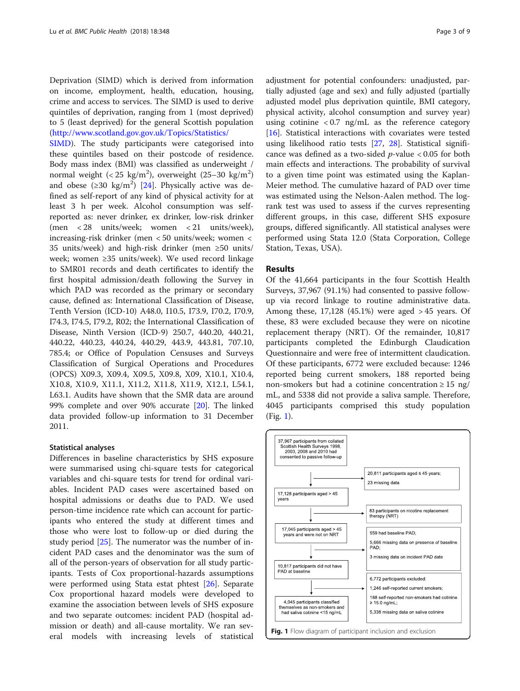Deprivation (SIMD) which is derived from information on income, employment, health, education, housing, crime and access to services. The SIMD is used to derive quintiles of deprivation, ranging from 1 (most deprived) to 5 (least deprived) for the general Scottish population ([http://www.scotland.gov.gov.uk/Topics/Statistics/](http://www.scotland.gov.gov.uk/Topics/Statistics/SIMD)

[SIMD](http://www.scotland.gov.gov.uk/Topics/Statistics/SIMD)). The study participants were categorised into these quintiles based on their postcode of residence. Body mass index (BMI) was classified as underweight / normal weight (<  $25 \text{ kg/m}^2$ ), overweight ( $25-30 \text{ kg/m}^2$ ) and obese ( $\geq$ 30 kg/m<sup>2</sup>) [\[24\]](#page-8-0). Physically active was defined as self-report of any kind of physical activity for at least 3 h per week. Alcohol consumption was selfreported as: never drinker, ex drinker, low-risk drinker (men < 28 units/week; women < 21 units/week), increasing-risk drinker (men < 50 units/week; women < 35 units/week) and high-risk drinker (men ≥50 units/ week; women ≥35 units/week). We used record linkage to SMR01 records and death certificates to identify the first hospital admission/death following the Survey in which PAD was recorded as the primary or secondary cause, defined as: International Classification of Disease, Tenth Version (ICD-10) A48.0, I10.5, I73.9, I70.2, I70.9, I74.3, I74.5, I79.2, R02; the International Classification of Disease, Ninth Version (ICD-9) 250.7, 440.20, 440.21, 440.22, 440.23, 440.24, 440.29, 443.9, 443.81, 707.10, 785.4; or Office of Population Censuses and Surveys Classification of Surgical Operations and Procedures (OPCS) X09.3, X09.4, X09.5, X09.8, X09, X10.1, X10.4, X10.8, X10.9, X11.1, X11.2, X11.8, X11.9, X12.1, L54.1, L63.1. Audits have shown that the SMR data are around 99% complete and over 90% accurate [[20\]](#page-8-0). The linked data provided follow-up information to 31 December 2011.

### Statistical analyses

Differences in baseline characteristics by SHS exposure were summarised using chi-square tests for categorical variables and chi-square tests for trend for ordinal variables. Incident PAD cases were ascertained based on hospital admissions or deaths due to PAD. We used person-time incidence rate which can account for participants who entered the study at different times and those who were lost to follow-up or died during the study period [\[25](#page-8-0)]. The numerator was the number of incident PAD cases and the denominator was the sum of all of the person-years of observation for all study participants. Tests of Cox proportional-hazards assumptions were performed using Stata estat phtest [\[26\]](#page-8-0). Separate Cox proportional hazard models were developed to examine the association between levels of SHS exposure and two separate outcomes: incident PAD (hospital admission or death) and all-cause mortality. We ran several models with increasing levels of statistical

adjustment for potential confounders: unadjusted, partially adjusted (age and sex) and fully adjusted (partially adjusted model plus deprivation quintile, BMI category, physical activity, alcohol consumption and survey year) using cotinine  $\langle 0.7 \text{ ng/mL} \rangle$  as the reference category [[16\]](#page-8-0). Statistical interactions with covariates were tested using likelihood ratio tests [\[27](#page-8-0), [28\]](#page-8-0). Statistical significance was defined as a two-sided  $p$ -value < 0.05 for both main effects and interactions. The probability of survival to a given time point was estimated using the Kaplan-Meier method. The cumulative hazard of PAD over time was estimated using the Nelson-Aalen method. The logrank test was used to assess if the curves representing different groups, in this case, different SHS exposure groups, differed significantly. All statistical analyses were performed using Stata 12.0 (Stata Corporation, College Station, Texas, USA).

### Results

Of the 41,664 participants in the four Scottish Health Surveys, 37,967 (91.1%) had consented to passive followup via record linkage to routine administrative data. Among these,  $17,128$  (45.1%) were aged  $> 45$  years. Of these, 83 were excluded because they were on nicotine replacement therapy (NRT). Of the remainder, 10,817 participants completed the Edinburgh Claudication Questionnaire and were free of intermittent claudication. Of these participants, 6772 were excluded because: 1246 reported being current smokers, 188 reported being non-smokers but had a cotinine concentration  $\geq 15$  ng/ mL, and 5338 did not provide a saliva sample. Therefore, 4045 participants comprised this study population (Fig. 1).

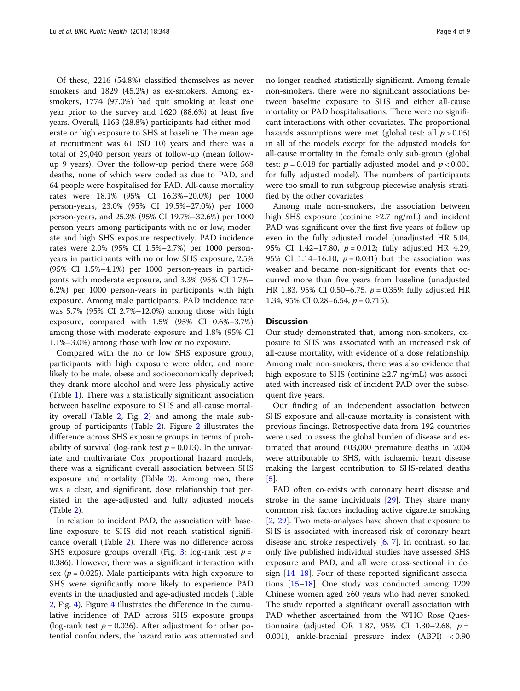Of these, 2216 (54.8%) classified themselves as never smokers and 1829 (45.2%) as ex-smokers. Among exsmokers, 1774 (97.0%) had quit smoking at least one year prior to the survey and 1620 (88.6%) at least five years. Overall, 1163 (28.8%) participants had either moderate or high exposure to SHS at baseline. The mean age at recruitment was 61 (SD 10) years and there was a total of 29,040 person years of follow-up (mean followup 9 years). Over the follow-up period there were 568 deaths, none of which were coded as due to PAD, and 64 people were hospitalised for PAD. All-cause mortality rates were 18.1% (95% CI 16.3%–20.0%) per 1000 person-years, 23.0% (95% CI 19.5%–27.0%) per 1000 person-years, and 25.3% (95% CI 19.7%–32.6%) per 1000 person-years among participants with no or low, moderate and high SHS exposure respectively. PAD incidence rates were 2.0% (95% CI 1.5%–2.7%) per 1000 personyears in participants with no or low SHS exposure, 2.5% (95% CI 1.5%–4.1%) per 1000 person-years in participants with moderate exposure, and 3.3% (95% CI 1.7%– 6.2%) per 1000 person-years in participants with high exposure. Among male participants, PAD incidence rate was 5.7% (95% CI 2.7%–12.0%) among those with high exposure, compared with 1.5% (95% CI 0.6%–3.7%) among those with moderate exposure and 1.8% (95% CI 1.1%–3.0%) among those with low or no exposure.

Compared with the no or low SHS exposure group, participants with high exposure were older, and more likely to be male, obese and socioeconomically deprived; they drank more alcohol and were less physically active (Table [1](#page-4-0)). There was a statistically significant association between baseline exposure to SHS and all-cause mortality overall (Table [2,](#page-5-0) Fig. [2](#page-6-0)) and among the male subgroup of participants (Table [2\)](#page-5-0). Figure [2](#page-6-0) illustrates the difference across SHS exposure groups in terms of probability of survival (log-rank test  $p = 0.013$ ). In the univariate and multivariate Cox proportional hazard models, there was a significant overall association between SHS exposure and mortality (Table [2\)](#page-5-0). Among men, there was a clear, and significant, dose relationship that persisted in the age-adjusted and fully adjusted models (Table [2\)](#page-5-0).

In relation to incident PAD, the association with baseline exposure to SHS did not reach statistical significance overall (Table [2](#page-5-0)). There was no difference across SHS exposure groups overall (Fig. [3](#page-6-0): log-rank test  $p =$ 0.386). However, there was a significant interaction with sex ( $p = 0.025$ ). Male participants with high exposure to SHS were significantly more likely to experience PAD events in the unadjusted and age-adjusted models (Table [2,](#page-5-0) Fig. [4](#page-6-0)). Figure [4](#page-6-0) illustrates the difference in the cumulative incidence of PAD across SHS exposure groups (log-rank test  $p = 0.026$ ). After adjustment for other potential confounders, the hazard ratio was attenuated and

no longer reached statistically significant. Among female non-smokers, there were no significant associations between baseline exposure to SHS and either all-cause mortality or PAD hospitalisations. There were no significant interactions with other covariates. The proportional hazards assumptions were met (global test: all  $p > 0.05$ ) in all of the models except for the adjusted models for all-cause mortality in the female only sub-group (global test:  $p = 0.018$  for partially adjusted model and  $p < 0.001$ for fully adjusted model). The numbers of participants were too small to run subgroup piecewise analysis stratified by the other covariates.

Among male non-smokers, the association between high SHS exposure (cotinine  $\geq$ 2.7 ng/mL) and incident PAD was significant over the first five years of follow-up even in the fully adjusted model (unadjusted HR 5.04, 95% CI 1.42–17.80,  $p = 0.012$ ; fully adjusted HR 4.29, 95% CI 1.14–16.10,  $p = 0.031$ ) but the association was weaker and became non-significant for events that occurred more than five years from baseline (unadjusted HR 1.83, 95% CI 0.50–6.75,  $p = 0.359$ ; fully adjusted HR 1.34, 95% CI 0.28–6.54,  $p = 0.715$ ).

### **Discussion**

Our study demonstrated that, among non-smokers, exposure to SHS was associated with an increased risk of all-cause mortality, with evidence of a dose relationship. Among male non-smokers, there was also evidence that high exposure to SHS (cotinine  $\geq$  2.7 ng/mL) was associated with increased risk of incident PAD over the subsequent five years.

Our finding of an independent association between SHS exposure and all-cause mortality is consistent with previous findings. Retrospective data from 192 countries were used to assess the global burden of disease and estimated that around 603,000 premature deaths in 2004 were attributable to SHS, with ischaemic heart disease making the largest contribution to SHS-related deaths [[5\]](#page-8-0).

PAD often co-exists with coronary heart disease and stroke in the same individuals [[29\]](#page-8-0). They share many common risk factors including active cigarette smoking [[2,](#page-8-0) [29](#page-8-0)]. Two meta-analyses have shown that exposure to SHS is associated with increased risk of coronary heart disease and stroke respectively [\[6](#page-8-0), [7\]](#page-8-0). In contrast, so far, only five published individual studies have assessed SHS exposure and PAD, and all were cross-sectional in design [\[14](#page-8-0)–[18\]](#page-8-0). Four of these reported significant associations [[15](#page-8-0)–[18\]](#page-8-0). One study was conducted among 1209 Chinese women aged ≥60 years who had never smoked. The study reported a significant overall association with PAD whether ascertained from the WHO Rose Questionnaire (adjusted OR 1.87, 95% CI 1.30–2.68,  $p =$ 0.001), ankle-brachial pressure index (ABPI) < 0.90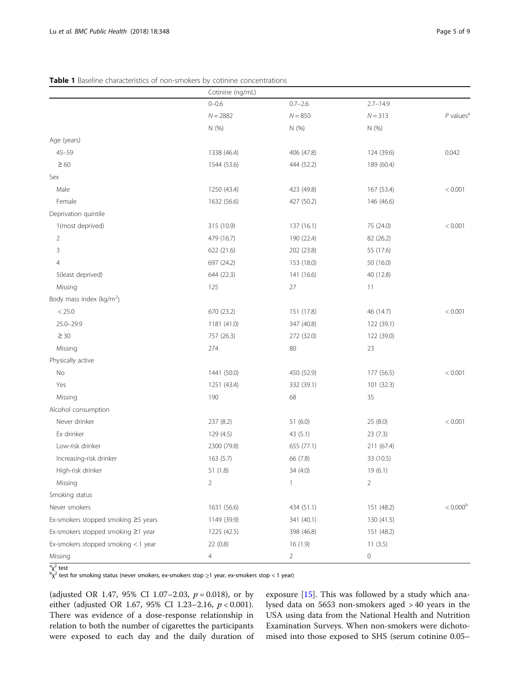<span id="page-4-0"></span>

|                                      | Cotinine (ng/mL) |              |                |                         |  |  |  |  |
|--------------------------------------|------------------|--------------|----------------|-------------------------|--|--|--|--|
|                                      | $0 - 0.6$        | $0.7 - 2.6$  | $2.7 - 14.9$   |                         |  |  |  |  |
|                                      | $N = 2882$       | $N = 850$    | $N = 313$      | $P$ values <sup>a</sup> |  |  |  |  |
|                                      | N (%)            | N (%)        | N (%)          |                         |  |  |  |  |
| Age (years)                          |                  |              |                |                         |  |  |  |  |
| $45 - 59$                            | 1338 (46.4)      | 406 (47.8)   | 124 (39.6)     | 0.042                   |  |  |  |  |
| $\geq 60$                            | 1544 (53.6)      | 444 (52.2)   | 189 (60.4)     |                         |  |  |  |  |
| Sex                                  |                  |              |                |                         |  |  |  |  |
| Male                                 | 1250 (43.4)      | 423 (49.8)   | 167 (53.4)     | < 0.001                 |  |  |  |  |
| Female                               | 1632 (56.6)      | 427 (50.2)   | 146 (46.6)     |                         |  |  |  |  |
| Deprivation quintile                 |                  |              |                |                         |  |  |  |  |
| 1(most deprived)                     | 315 (10.9)       | 137 (16.1)   | 75 (24.0)      | < 0.001                 |  |  |  |  |
| 2                                    | 479 (16.7)       | 190 (22.4)   | 82 (26.2)      |                         |  |  |  |  |
| 3                                    | 622 (21.6)       | 202 (23.8)   | 55 (17.6)      |                         |  |  |  |  |
| 4                                    | 697 (24.2)       | 153 (18.0)   | 50 (16.0)      |                         |  |  |  |  |
| 5(least deprived)                    | 644 (22.3)       | 141 (16.6)   | 40 (12.8)      |                         |  |  |  |  |
| Missing                              | 125              | 27           | 11             |                         |  |  |  |  |
| Body mass index (kg/m <sup>2</sup> ) |                  |              |                |                         |  |  |  |  |
| < 25.0                               | 670 (23.2)       | 151 (17.8)   | 46 (14.7)      | < 0.001                 |  |  |  |  |
| $25.0 - 29.9$                        | 1181 (41.0)      | 347 (40.8)   | 122 (39.1)     |                         |  |  |  |  |
| $\geq 30$                            | 757 (26.3)       | 272 (32.0)   | 122 (39.0)     |                         |  |  |  |  |
| Missing                              | 274              | 80           | 23             |                         |  |  |  |  |
| Physically active                    |                  |              |                |                         |  |  |  |  |
| No                                   | 1441 (50.0)      | 450 (52.9)   | 177 (56.5)     | < 0.001                 |  |  |  |  |
| Yes                                  | 1251 (43.4)      | 332 (39.1)   | 101 (32.3)     |                         |  |  |  |  |
| Missing                              | 190              | 68           | 35             |                         |  |  |  |  |
| Alcohol consumption                  |                  |              |                |                         |  |  |  |  |
| Never drinker                        | 237 (8.2)        | 51(6.0)      | 25(8.0)        | < 0.001                 |  |  |  |  |
| Ex drinker                           | 129 (4.5)        | 43(5.1)      | 23(7.3)        |                         |  |  |  |  |
| Low-risk drinker                     | 2300 (79.8)      | 655 (77.1)   | 211 (67.4)     |                         |  |  |  |  |
| Increasing-risk drinker              | 163(5.7)         | 66 (7.8)     | 33 (10.5)      |                         |  |  |  |  |
| High-risk drinker                    | 51 (1.8)         | 34 (4.0)     | 19(6.1)        |                         |  |  |  |  |
| Missing                              | $\overline{2}$   | $\mathbf{1}$ | $\overline{2}$ |                         |  |  |  |  |
| Smoking status                       |                  |              |                |                         |  |  |  |  |
| Never smokers                        | 1631 (56.6)      | 434 (51.1)   | 151 (48.2)     | $< 0.000^{\rm b}$       |  |  |  |  |
| Ex-smokers stopped smoking ≥5 years  | 1149 (39.9)      | 341 (40.1)   | 130 (41.5)     |                         |  |  |  |  |
| Ex-smokers stopped smoking ≥1 year   | 1225 (42.5)      | 398 (46.8)   | 151 (48.2)     |                         |  |  |  |  |
| Ex-smokers stopped smoking < 1 year  | 22 (0.8)         | 16(1.9)      | 11(3.5)        |                         |  |  |  |  |
| Missing                              | 4                | 2            | 0              |                         |  |  |  |  |

<sup>a</sup>x<sup>2</sup> test<br><sup>b</sup>x<sup>2</sup> test for smoking status (never smokers, ex-smokers stop ≥1 year, ex-smokers stop < 1 year)

(adjusted OR 1.47, 95% CI 1.07-2.03,  $p = 0.018$ ), or by either (adjusted OR 1.67, 95% CI 1.23–2.16, p < 0.001). There was evidence of a dose-response relationship in relation to both the number of cigarettes the participants were exposed to each day and the daily duration of exposure [\[15](#page-8-0)]. This was followed by a study which analysed data on 5653 non-smokers aged > 40 years in the USA using data from the National Health and Nutrition Examination Surveys. When non-smokers were dichotomised into those exposed to SHS (serum cotinine 0.05–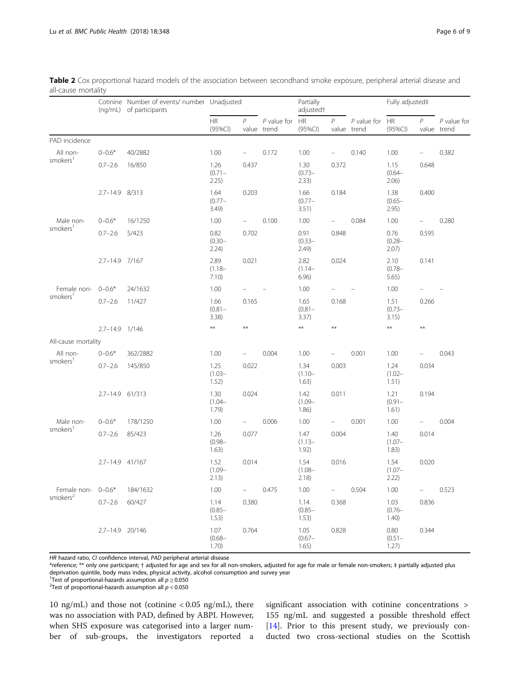|                                     |                 | Cotinine Number of events/ number Unadjusted<br>(ng/mL) of participants |                            |                  |                                   | Partially<br>adjusted <sup>+</sup> |                   |                              | Fully adjusted‡            |                |                              |
|-------------------------------------|-----------------|-------------------------------------------------------------------------|----------------------------|------------------|-----------------------------------|------------------------------------|-------------------|------------------------------|----------------------------|----------------|------------------------------|
|                                     |                 |                                                                         | <b>HR</b><br>$(95\%CI)$    | $\boldsymbol{P}$ | $P$ value for $HR$<br>value trend | $(95\%CI)$                         | $\boldsymbol{P}$  | $P$ value for<br>value trend | HR<br>(95%CI)              | $\overline{P}$ | $P$ value for<br>value trend |
| PAD incidence                       |                 |                                                                         |                            |                  |                                   |                                    |                   |                              |                            |                |                              |
| All non-<br>smokers <sup>1</sup>    | $0 - 0.6*$      | 40/2882                                                                 | 1.00                       | $\equiv$         | 0.172                             | 1.00                               | $\equiv$          | 0.140                        | 1.00                       | $\equiv$       | 0.382                        |
|                                     | $0.7 - 2.6$     | 16/850                                                                  | 1.26<br>$(0.71 -$<br>2.25) | 0.437            |                                   | 1.30<br>$(0.73 -$<br>2.33)         | 0.372             |                              | 1.15<br>$(0.64 -$<br>2.06) | 0.648          |                              |
|                                     | 2.7-14.9 8/313  |                                                                         | 1.64<br>$(0.77 -$<br>3.49) | 0.203            |                                   | 1.66<br>$(0.77 -$<br>3.51)         | 0.184             |                              | 1.38<br>$(0.65 -$<br>2.95) | 0.400          |                              |
| Male non-<br>smokers <sup>1</sup>   | $0 - 0.6*$      | 16/1250                                                                 | 1.00                       | $\equiv$         | 0.100                             | 1.00                               | $\equiv$          | 0.084                        | 1.00                       | $\equiv$       | 0.280                        |
|                                     | $0.7 - 2.6$     | 5/423                                                                   | 0.82<br>$(0.30 -$<br>2.24) | 0.702            |                                   | 0.91<br>$(0.33 -$<br>2.49)         | 0.848             |                              | 0.76<br>$(0.28 -$<br>2.07) | 0.595          |                              |
|                                     | 2.7-14.9 7/167  |                                                                         | 2.89<br>$(1.18 -$<br>7.10) | 0.021            |                                   | 2.82<br>$(1.14 -$<br>6.96)         | 0.024             |                              | 2.10<br>$(0.78 -$<br>5.65) | 0.141          |                              |
| Female non-<br>smokers <sup>1</sup> | $0 - 0.6*$      | 24/1632                                                                 | 1.00                       |                  |                                   | 1.00                               | $\qquad \qquad -$ |                              | 1.00                       |                |                              |
|                                     | $0.7 - 2.6$     | 11/427                                                                  | 1.66<br>$(0.81 -$<br>3.38) | 0.165            |                                   | 1.65<br>$(0.81 -$<br>3.37)         | 0.168             |                              | 1.51<br>$(0.73 -$<br>3.15) | 0.266          |                              |
|                                     | 2.7-14.9 1/146  |                                                                         | $**$                       | $**$             |                                   | $**$                               | $**$              |                              | $**$                       | $**$           |                              |
| All-cause mortality                 |                 |                                                                         |                            |                  |                                   |                                    |                   |                              |                            |                |                              |
| All non-                            | $0 - 0.6*$      | 362/2882                                                                | 1.00                       | $\equiv$         | 0.004                             | 1.00                               | $\frac{1}{2}$     | 0.001                        | 1.00                       | $\equiv$       | 0.043                        |
| smokers <sup>1</sup>                | $0.7 - 2.6$     | 145/850                                                                 | 1.25<br>$(1.03 -$<br>1.52) | 0.022            |                                   | 1.34<br>$(1.10 -$<br>1.63)         | 0.003             |                              | 1.24<br>$(1.02 -$<br>1.51) | 0.034          |                              |
|                                     | 2.7-14.9 61/313 |                                                                         | 1.30<br>$(1.04 -$<br>1.79) | 0.024            |                                   | 1.42<br>$(1.09 -$<br>1.86)         | 0.011             |                              | 1.21<br>$(0.91 -$<br>1.61) | 0.194          |                              |
| Male non-<br>smokers <sup>1</sup>   | $0 - 0.6*$      | 178/1250                                                                | 1.00                       | $\equiv$         | 0.006                             | 1.00                               | $\frac{1}{2}$     | 0.001                        | 1.00                       | $\equiv$       | 0.004                        |
|                                     | $0.7 - 2.6$     | 85/423                                                                  | 1.26<br>$(0.98 -$<br>1.63) | 0.077            |                                   | 1.47<br>$(1.13 -$<br>1.92)         | 0.004             |                              | 1.40<br>$(1.07 -$<br>1.83) | 0.014          |                              |
|                                     | 2.7-14.9 41/167 |                                                                         | 1.52<br>$(1.09 -$<br>2.13) | 0.014            |                                   | 1.54<br>$(1.08 -$<br>2.18)         | 0.016             |                              | 1.54<br>$(1.07 -$<br>2.22) | 0.020          |                              |
| Female non-<br>smokers <sup>2</sup> | $0 - 0.6*$      | 184/1632                                                                | 1.00                       | $\equiv$         | 0.475                             | 1.00                               | ÷                 | 0.504                        | 1.00                       | $\equiv$       | 0.523                        |
|                                     | $0.7 - 2.6$     | 60/427                                                                  | 1.14<br>$(0.85 -$<br>1.53) | 0.380            |                                   | 1.14<br>$(0.85 -$<br>1.53)         | 0.368             |                              | 1.03<br>$(0.76 -$<br>1.40) | 0.836          |                              |
|                                     | 2.7-14.9 20/146 |                                                                         | 1.07<br>$(0.68 -$          | 0.764            |                                   | 1.05<br>$(0.67 -$                  | 0.828             |                              | 0.80<br>$(0.51 -$          | 0.344          |                              |

<span id="page-5-0"></span>Table 2 Cox proportional hazard models of the association between secondhand smoke exposure, peripheral arterial disease and all-cause mortality

HR hazard ratio, CI confidence interval, PAD peripheral arterial disease

\*reference; \*\* only one participant; † adjusted for age and sex for all non-smokers, adjusted for age for male or female non-smokers; ‡ partially adjusted plus deprivation quintile, body mass index, physical activity, alcohol consumption and survey year

1.65)

1.70)

<sup>1</sup>Test of proportional-hazards assumption all  $p \ge 0.050$ <sup>2</sup>Test of proportional-hazards assumption all  $p \ge 0.050$ <sup>2</sup>Test of proportional-hazards assumption all  $p < 0.050$ 

10 ng/mL) and those not (cotinine < 0.05 ng/mL), there was no association with PAD, defined by ABPI. However, when SHS exposure was categorised into a larger number of sub-groups, the investigators reported a

significant association with cotinine concentrations > 155 ng/mL and suggested a possible threshold effect [[14\]](#page-8-0). Prior to this present study, we previously conducted two cross-sectional studies on the Scottish

1.27)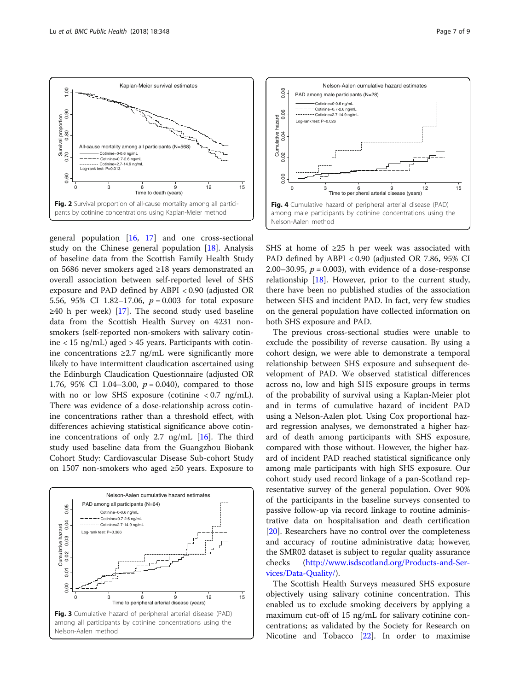<span id="page-6-0"></span>

general population [\[16](#page-8-0), [17](#page-8-0)] and one cross-sectional study on the Chinese general population  $[18]$  $[18]$ . Analysis of baseline data from the Scottish Family Health Study on 5686 never smokers aged ≥18 years demonstrated an overall association between self-reported level of SHS exposure and PAD defined by ABPI < 0.90 (adjusted OR 5.56, 95% CI 1.82–17.06,  $p = 0.003$  for total exposure  $\geq$ 40 h per week) [\[17](#page-8-0)]. The second study used baseline data from the Scottish Health Survey on 4231 nonsmokers (self-reported non-smokers with salivary cotinine < 15 ng/mL) aged > 45 years. Participants with cotinine concentrations ≥2.7 ng/mL were significantly more likely to have intermittent claudication ascertained using the Edinburgh Claudication Questionnaire (adjusted OR 1.76, 95% CI 1.04–3.00,  $p = 0.040$ ), compared to those with no or low SHS exposure (cotinine  $< 0.7$  ng/mL). There was evidence of a dose-relationship across cotinine concentrations rather than a threshold effect, with differences achieving statistical significance above cotinine concentrations of only 2.7 ng/mL [[16\]](#page-8-0). The third study used baseline data from the Guangzhou Biobank Cohort Study: Cardiovascular Disease Sub-cohort Study on 1507 non-smokers who aged ≥50 years. Exposure to





SHS at home of  $\geq$ 25 h per week was associated with PAD defined by ABPI < 0.90 (adjusted OR 7.86, 95% CI 2.00–30.95,  $p = 0.003$ , with evidence of a dose-response relationship  $[18]$  $[18]$ . However, prior to the current study, there have been no published studies of the association between SHS and incident PAD. In fact, very few studies on the general population have collected information on both SHS exposure and PAD.

The previous cross-sectional studies were unable to exclude the possibility of reverse causation. By using a cohort design, we were able to demonstrate a temporal relationship between SHS exposure and subsequent development of PAD. We observed statistical differences across no, low and high SHS exposure groups in terms of the probability of survival using a Kaplan-Meier plot and in terms of cumulative hazard of incident PAD using a Nelson-Aalen plot. Using Cox proportional hazard regression analyses, we demonstrated a higher hazard of death among participants with SHS exposure, compared with those without. However, the higher hazard of incident PAD reached statistical significance only among male participants with high SHS exposure. Our cohort study used record linkage of a pan-Scotland representative survey of the general population. Over 90% of the participants in the baseline surveys consented to passive follow-up via record linkage to routine administrative data on hospitalisation and death certification [[20\]](#page-8-0). Researchers have no control over the completeness and accuracy of routine administrative data; however, the SMR02 dataset is subject to regular quality assurance checks [\(http://www.isdscotland.org/Products-and-Ser](http://www.isdscotland.org/Products-and-Services/Data-Quality/)[vices/Data-Quality/](http://www.isdscotland.org/Products-and-Services/Data-Quality/)).

The Scottish Health Surveys measured SHS exposure objectively using salivary cotinine concentration. This enabled us to exclude smoking deceivers by applying a maximum cut-off of 15 ng/mL for salivary cotinine concentrations; as validated by the Society for Research on Nicotine and Tobacco [[22](#page-8-0)]. In order to maximise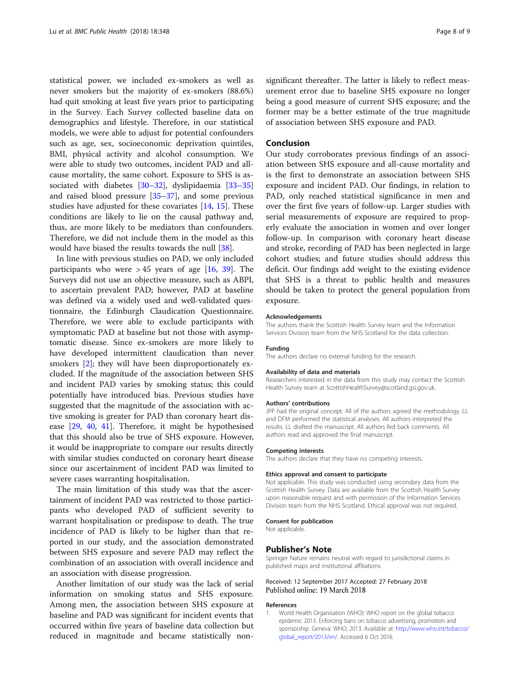<span id="page-7-0"></span>statistical power, we included ex-smokers as well as never smokers but the majority of ex-smokers (88.6%) had quit smoking at least five years prior to participating in the Survey. Each Survey collected baseline data on demographics and lifestyle. Therefore, in our statistical models, we were able to adjust for potential confounders such as age, sex, socioeconomic deprivation quintiles, BMI, physical activity and alcohol consumption. We were able to study two outcomes, incident PAD and allcause mortality, the same cohort. Exposure to SHS is as-sociated with diabetes [[30](#page-8-0)–[32](#page-8-0)], dyslipidaemia [[33](#page-8-0)–[35](#page-8-0)] and raised blood pressure [[35](#page-8-0)–[37](#page-8-0)], and some previous studies have adjusted for these covariates [[14,](#page-8-0) [15\]](#page-8-0). These conditions are likely to lie on the causal pathway and, thus, are more likely to be mediators than confounders. Therefore, we did not include them in the model as this would have biased the results towards the null [\[38\]](#page-8-0).

In line with previous studies on PAD, we only included participants who were  $> 45$  years of age [[16](#page-8-0), [39](#page-8-0)]. The Surveys did not use an objective measure, such as ABPI, to ascertain prevalent PAD; however, PAD at baseline was defined via a widely used and well-validated questionnaire, the Edinburgh Claudication Questionnaire. Therefore, we were able to exclude participants with symptomatic PAD at baseline but not those with asymptomatic disease. Since ex-smokers are more likely to have developed intermittent claudication than never smokers [[2\]](#page-8-0); they will have been disproportionately excluded. If the magnitude of the association between SHS and incident PAD varies by smoking status; this could potentially have introduced bias. Previous studies have suggested that the magnitude of the association with active smoking is greater for PAD than coronary heart disease [[29,](#page-8-0) [40,](#page-8-0) [41\]](#page-8-0). Therefore, it might be hypothesised that this should also be true of SHS exposure. However, it would be inappropriate to compare our results directly with similar studies conducted on coronary heart disease since our ascertainment of incident PAD was limited to severe cases warranting hospitalisation.

The main limitation of this study was that the ascertainment of incident PAD was restricted to those participants who developed PAD of sufficient severity to warrant hospitalisation or predispose to death. The true incidence of PAD is likely to be higher than that reported in our study, and the association demonstrated between SHS exposure and severe PAD may reflect the combination of an association with overall incidence and an association with disease progression.

Another limitation of our study was the lack of serial information on smoking status and SHS exposure. Among men, the association between SHS exposure at baseline and PAD was significant for incident events that occurred within five years of baseline data collection but reduced in magnitude and became statistically non-

significant thereafter. The latter is likely to reflect measurement error due to baseline SHS exposure no longer being a good measure of current SHS exposure; and the former may be a better estimate of the true magnitude of association between SHS exposure and PAD.

### Conclusion

Our study corroborates previous findings of an association between SHS exposure and all-cause mortality and is the first to demonstrate an association between SHS exposure and incident PAD. Our findings, in relation to PAD, only reached statistical significance in men and over the first five years of follow-up. Larger studies with serial measurements of exposure are required to properly evaluate the association in women and over longer follow-up. In comparison with coronary heart disease and stroke, recording of PAD has been neglected in large cohort studies; and future studies should address this deficit. Our findings add weight to the existing evidence that SHS is a threat to public health and measures should be taken to protect the general population from exposure.

#### Acknowledgements

The authors thank the Scottish Health Survey team and the Information Services Division team from the NHS Scotland for the data collection.

# Funding

The authors declare no external funding for the research.

#### Availability of data and materials

Researchers interested in the data from this study may contact the Scottish Health Survey team at ScottishHealthSurvey@scotland.gsi.gov.uk.

#### Authors' contributions

JPP had the original concept. All of the authors agreed the methodology. LL and DFM performed the statistical analyses. All authors interpreted the results. LL drafted the manuscript. All authors fed back comments. All authors read and approved the final manuscript.

#### Competing interests

The authors declare that they have no competing interests.

#### Ethics approval and consent to participate

Not applicable. This study was conducted using secondary data from the Scottish Health Survey. Data are available from the Scottish Health Survey upon reasonable request and with permission of the Information Services Division team from the NHS Scotland. Ethical approval was not required.

#### Consent for publication

Not applicable.

### Publisher's Note

Springer Nature remains neutral with regard to jurisdictional claims in published maps and institutional affiliations.

Received: 12 September 2017 Accepted: 27 February 2018 Published online: 19 March 2018

#### References

1. World Health Organisation (WHO): WHO report on the global tobacco epidemic 2013. Enforcing bans on tobacco advertising, promotion and sponsorship. Geneva: WHO; 2013. Available at: [http://www.who.int/tobacco/](http://www.who.int/tobacco/global_report/2013/en) [global\\_report/2013/en/](http://www.who.int/tobacco/global_report/2013/en). Accessed 6 Oct 2016.